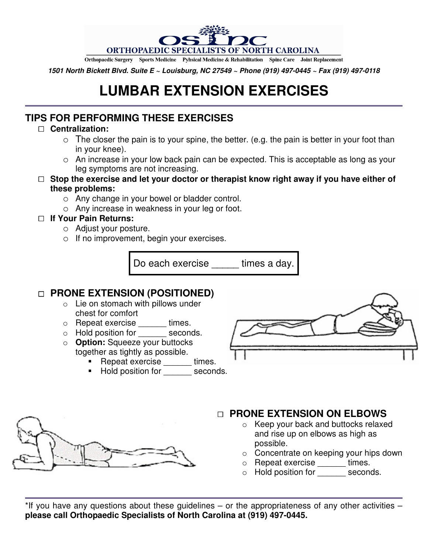

Orthopaedic Surgery Sports Medicine Pyhsical Medicine & Rehabilitation Spine Care Joint Replacement

**1501 North Bickett Blvd. Suite E ~ Louisburg, NC 27549 ~ Phone (919) 497-0445 ~ Fax (919) 497-0118**

# **LUMBAR EXTENSION EXERCISES**

# **TIPS FOR PERFORMING THESE EXERCISES**

#### **Centralization:**

- $\circ$  The closer the pain is to your spine, the better. (e.g. the pain is better in your foot than in your knee).
- o An increase in your low back pain can be expected. This is acceptable as long as your leg symptoms are not increasing.

#### **Stop the exercise and let your doctor or therapist know right away if you have either of these problems:**

- o Any change in your bowel or bladder control.
- o Any increase in weakness in your leg or foot.

#### **If Your Pain Returns:**

- o Adjust your posture.
- o If no improvement, begin your exercises.

Do each exercise \_\_\_\_\_ times a day.

# **PRONE EXTENSION (POSITIONED)**

- o Lie on stomach with pillows under chest for comfort
- o Repeat exercise \_\_\_\_\_\_ times.
- o Hold position for seconds.
- o **Option:** Squeeze your buttocks together as tightly as possible.
	- Repeat exercise times.
	- Hold position for seconds.



# **PRONE EXTENSION ON ELBOWS**

- o Keep your back and buttocks relaxed and rise up on elbows as high as possible.
- o Concentrate on keeping your hips down
- o Repeat exercise \_\_\_\_\_\_ times.
- o Hold position for seconds.

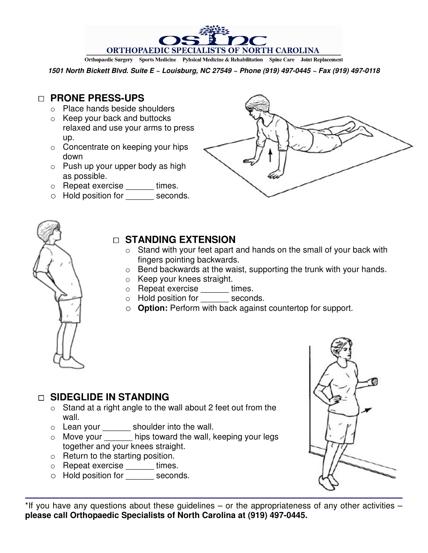ORTHOPAEDIC SPECIALISTS OF NORTH CAROLINA Orthopaedic Surgery Sports Medicine Pyhsical Medicine & Rehabilitation Spine Care Joint Replacement

**1501 North Bickett Blvd. Suite E ~ Louisburg, NC 27549 ~ Phone (919) 497-0445 ~ Fax (919) 497-0118**

## **PRONE PRESS-UPS**

- o Place hands beside shoulders
- o Keep your back and buttocks relaxed and use your arms to press up.
- o Concentrate on keeping your hips down
- $\circ$  Push up your upper body as high as possible.
- o Repeat exercise \_\_\_\_\_\_ times.
- o Hold position for \_\_\_\_\_\_ seconds.





### **STANDING EXTENSION**

- $\circ$  Stand with your feet apart and hands on the small of your back with fingers pointing backwards.
- $\circ$  Bend backwards at the waist, supporting the trunk with your hands.
- o Keep your knees straight.
- o Repeat exercise times.
- o Hold position for seconds.
- o **Option:** Perform with back against countertop for support.

## **SIDEGLIDE IN STANDING**

- $\circ$  Stand at a right angle to the wall about 2 feet out from the wall.
- o Lean your \_\_\_\_\_\_ shoulder into the wall.
- o Move your \_\_\_\_\_\_ hips toward the wall, keeping your legs together and your knees straight.
- $\circ$  Return to the starting position.
- o Repeat exercise \_\_\_\_\_\_ times.
- o Hold position for \_\_\_\_\_\_ seconds.



\*If you have any questions about these guidelines – or the appropriateness of any other activities – **please call Orthopaedic Specialists of North Carolina at (919) 497-0445.**